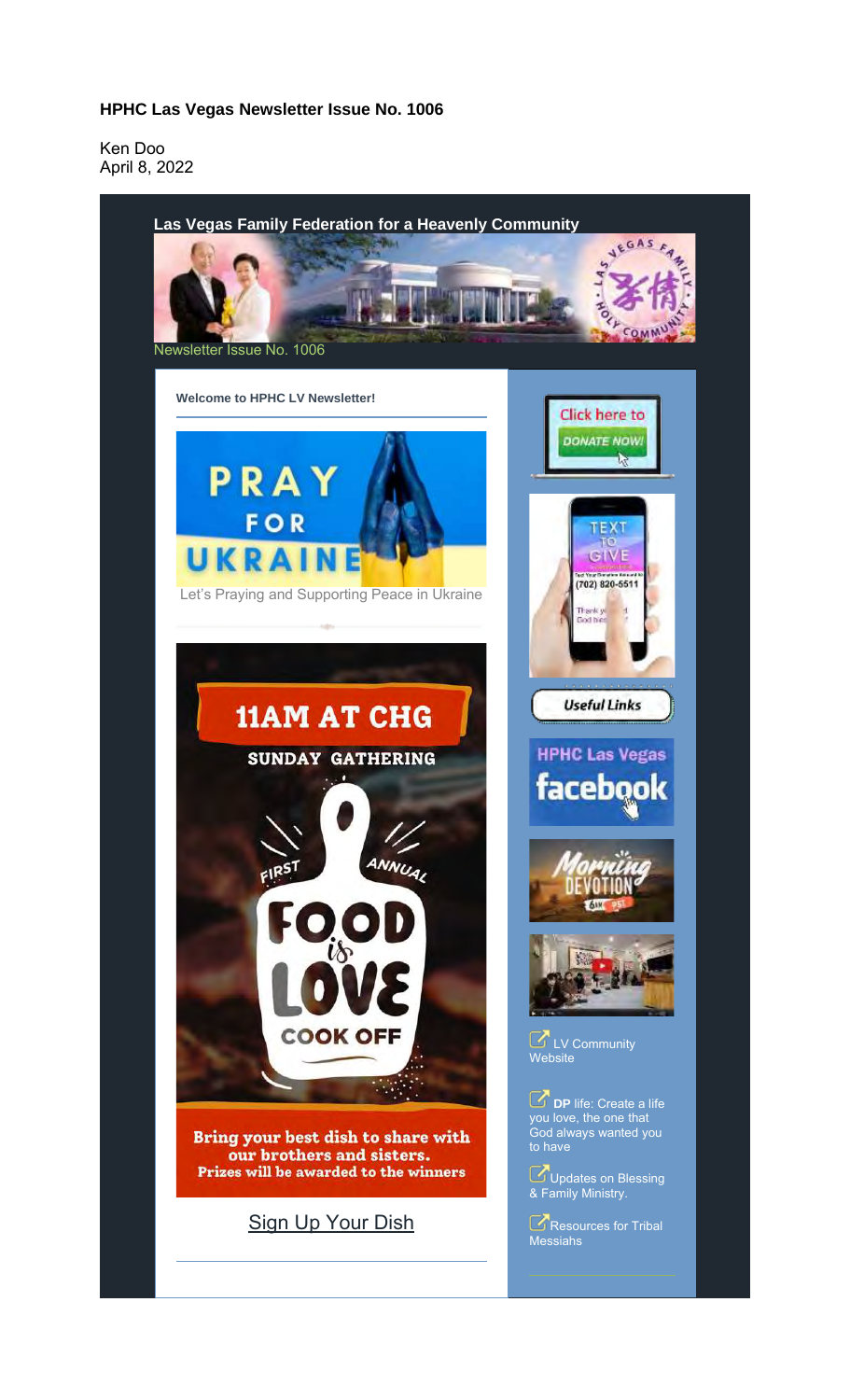## **HPHC Las Vegas Newsletter Issue No. 1006**

Ken Doo April 8, 2022

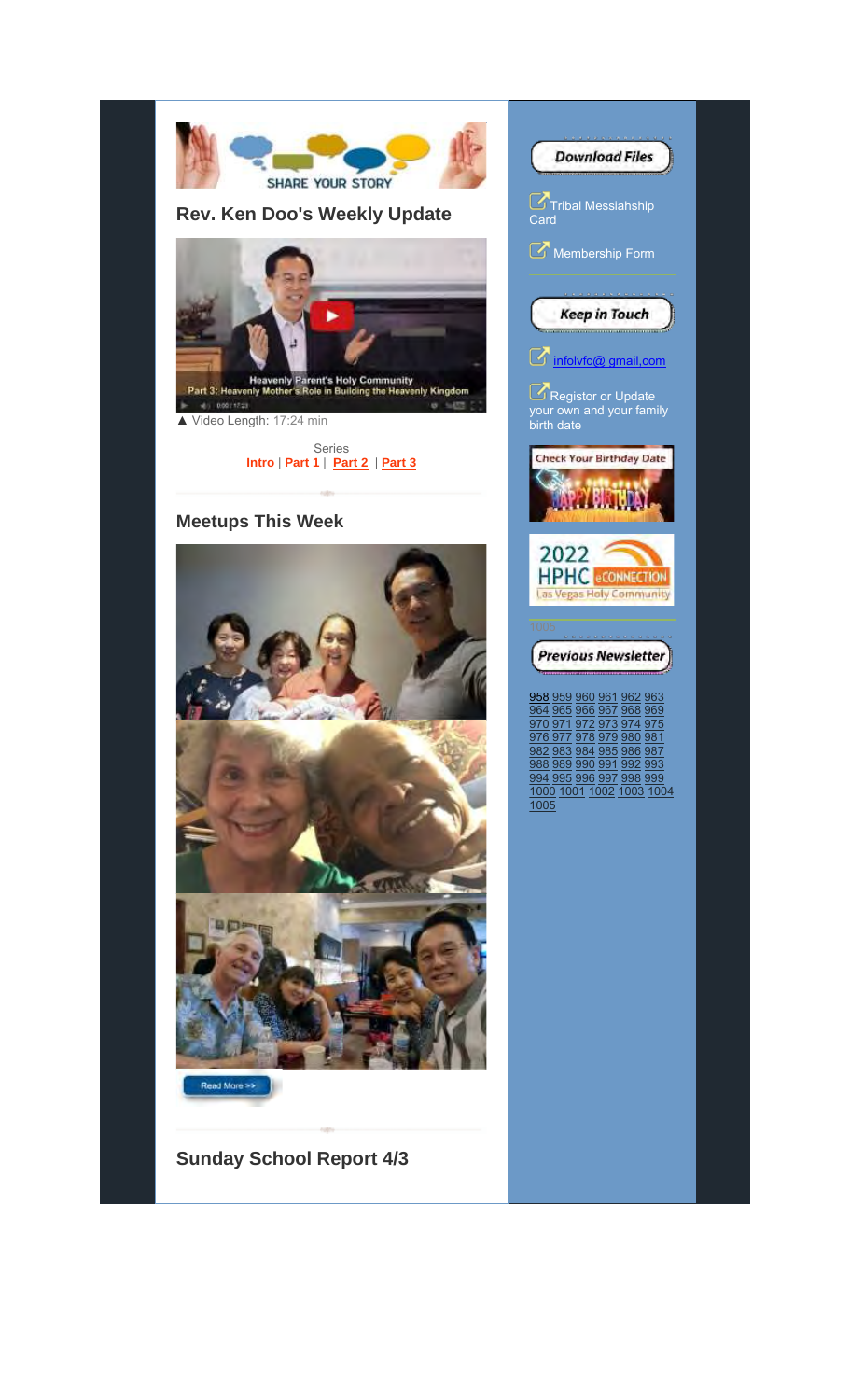



**Sunday School Report 4/3**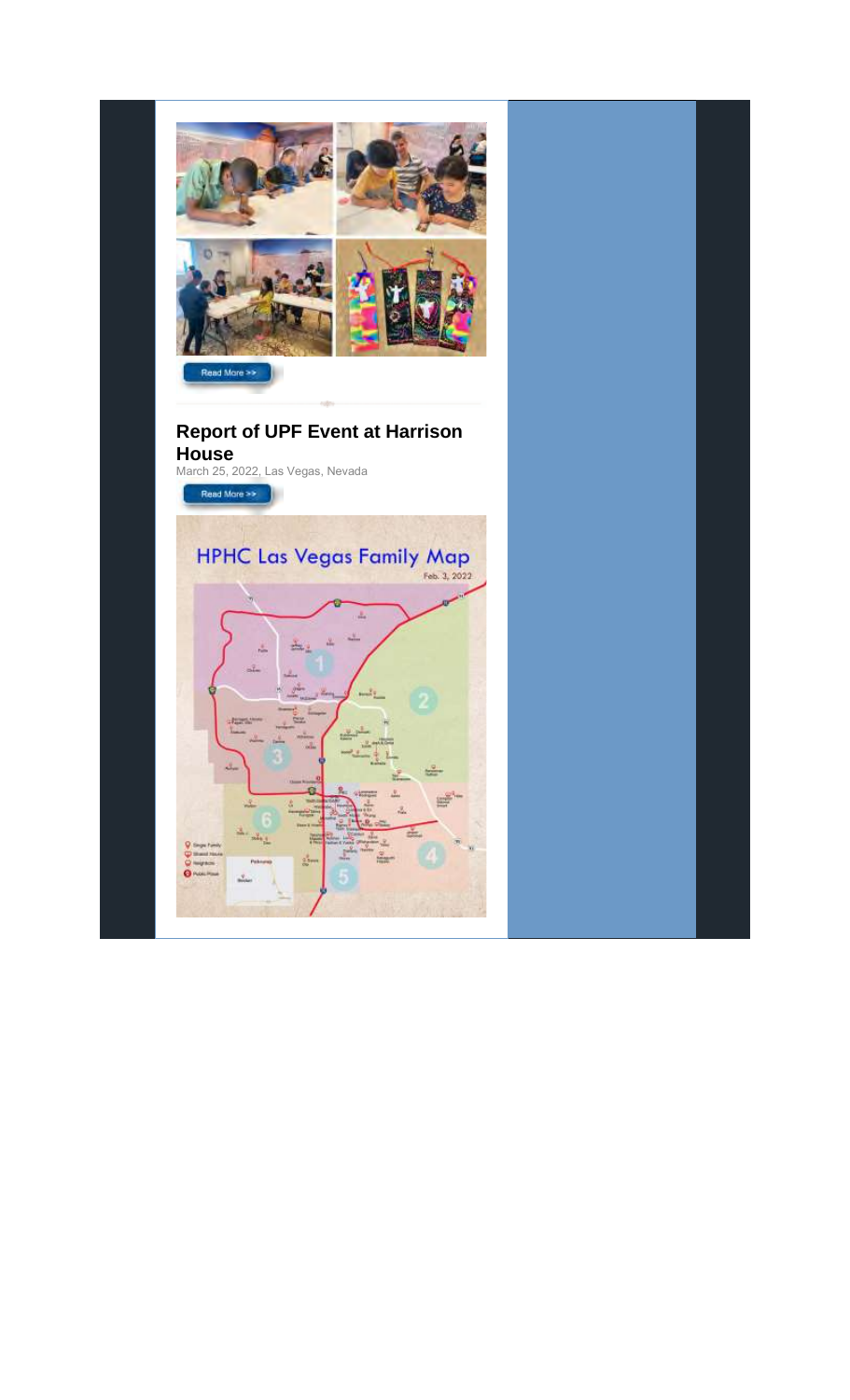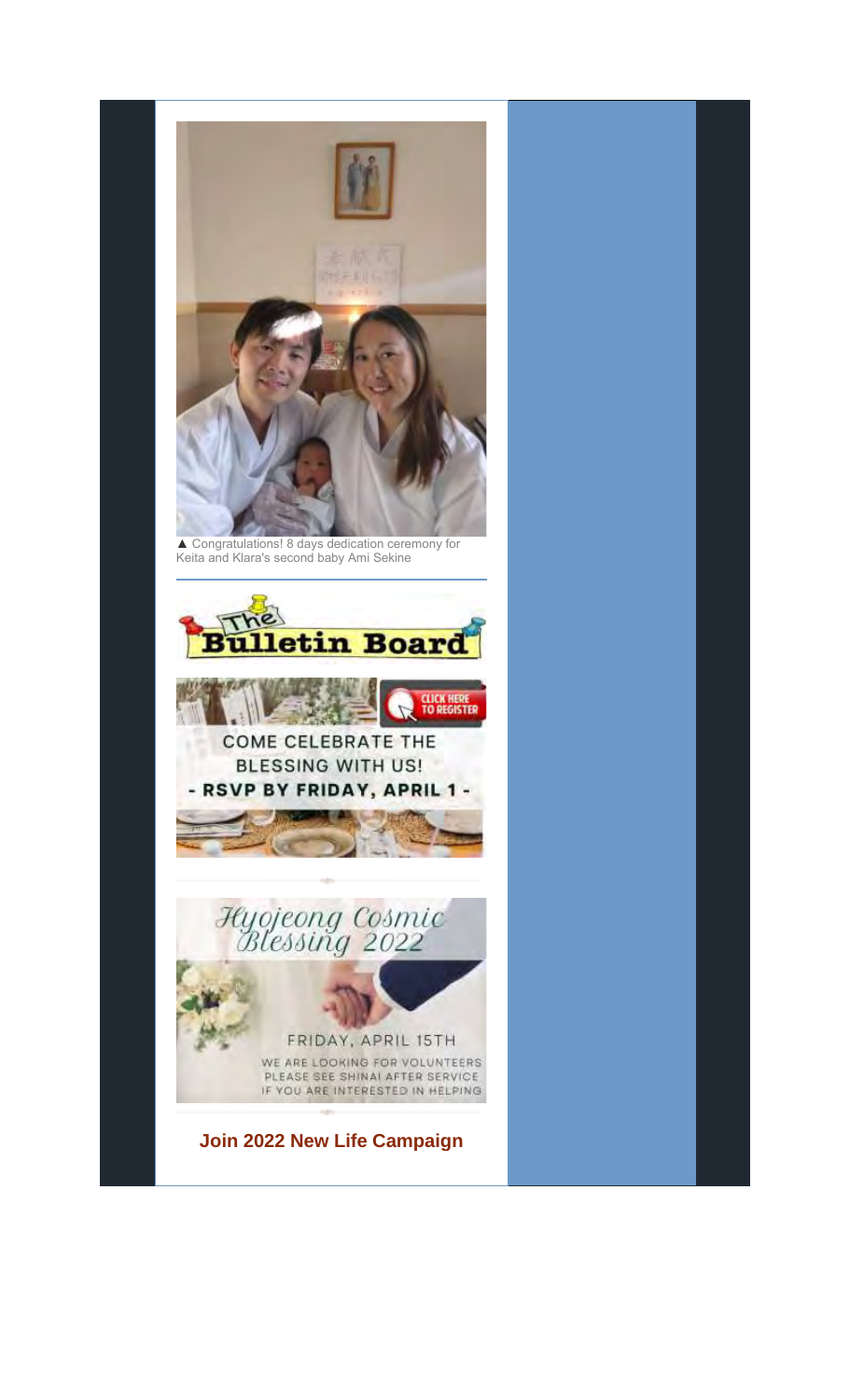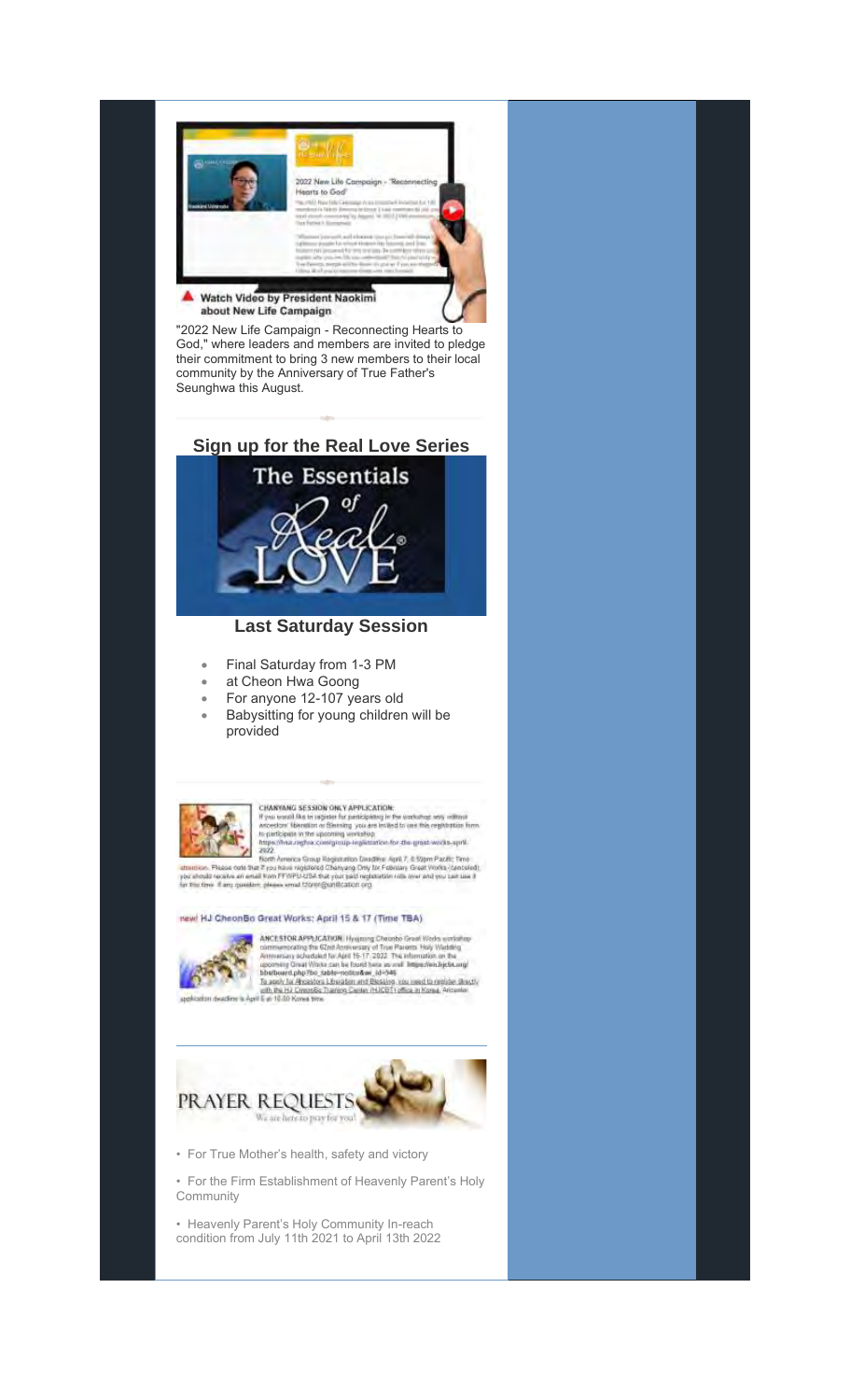

"2022 New Life Campaign - Reconnecting Hearts to God," where leaders and members are invited to pledge their commitment to bring 3 new members to their local community by the Anniversary of True Father's Seunghwa this August.

**Sign up for the Real Love Series**



## **Last Saturday Session**

- Final Saturday from 1-3 PM
- at Cheon Hwa Goong
- For anyone 12-107 years old
- Babysitting for young children will be provided



CHANYANG SESSION ONLY APPLICATION:<br>
If you want like in register for pericipates in the workshap sets influed<br>
to pericipate in the upcoming workering in the register form<br>
to pericipate in the upcoming workering<br>
https://

2022.<br>The Radio Corte Margaret Registration Ensignment April 7, 6 50pm Pacific Time<br>The Radio Corte Type Risk registered Changing Driv Tor Folknian Great Works (created<br>In the flow and then FFWPI/USA that your paid registr

## New! HJ CheonBo Great Works: April 15 & 17 (Time TBA)



**ANCE STOR APPLICATION**. Hysigang Cheorito Great Western artisting contrast script for  $Q$  and  $\mathcal{A}$  are contrasted for  $A$  and  $\mathcal{A}$  are the contrast of  $\mathcal{A}$  and  $\mathcal{A}$  are  $\mathcal{A}$  and  $\mathcal{A}$  are  $\mathcal{A}$ 



• For True Mother's health, safety and victory

• For the Firm Establishment of Heavenly Parent's Holy Community

• Heavenly Parent's Holy Community In-reach condition from July 11th 2021 to April 13th 2022